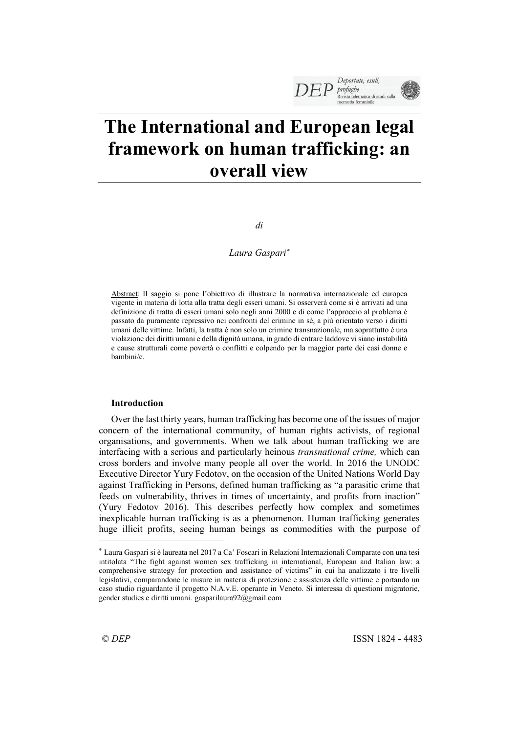# **The International and European legal framework on human trafficking: an overall view**

*di*

# *Laura Gaspari*\*

Abstract: Il saggio si pone l'obiettivo di illustrare la normativa internazionale ed europea vigente in materia di lotta alla tratta degli esseri umani. Si osserverà come si è arrivati ad una definizione di tratta di esseri umani solo negli anni 2000 e di come l'approccio al problema è passato da puramente repressivo nei confronti del crimine in sé, a più orientato verso i diritti umani delle vittime. Infatti, la tratta è non solo un crimine transnazionale, ma soprattutto è una violazione dei diritti umani e della dignità umana, in grado di entrare laddove vi siano instabilità e cause strutturali come povertà o conflitti e colpendo per la maggior parte dei casi donne e bambini/e.

## **Introduction**

Over the last thirty years, human trafficking has become one of the issues of major concern of the international community, of human rights activists, of regional organisations, and governments. When we talk about human trafficking we are interfacing with a serious and particularly heinous *transnational crime,* which can cross borders and involve many people all over the world. In 2016 the UNODC Executive Director Yury Fedotov, on the occasion of the United Nations World Day against Trafficking in Persons, defined human trafficking as "a parasitic crime that feeds on vulnerability, thrives in times of uncertainty, and profits from inaction" (Yury Fedotov 2016). This describes perfectly how complex and sometimes inexplicable human trafficking is as a phenomenon. Human trafficking generates huge illicit profits, seeing human beings as commodities with the purpose of

<sup>\*</sup> Laura Gaspari si è laureata nel 2017 a Ca' Foscari in Relazioni Internazionali Comparate con una tesi intitolata "The fight against women sex trafficking in international, European and Italian law: a comprehensive strategy for protection and assistance of victims" in cui ha analizzato i tre livelli legislativi, comparandone le misure in materia di protezione e assistenza delle vittime e portando un caso studio riguardante il progetto N.A.v.E. operante in Veneto. Si interessa di questioni migratorie, gender studies e diritti umani. gasparilaura92@gmail.com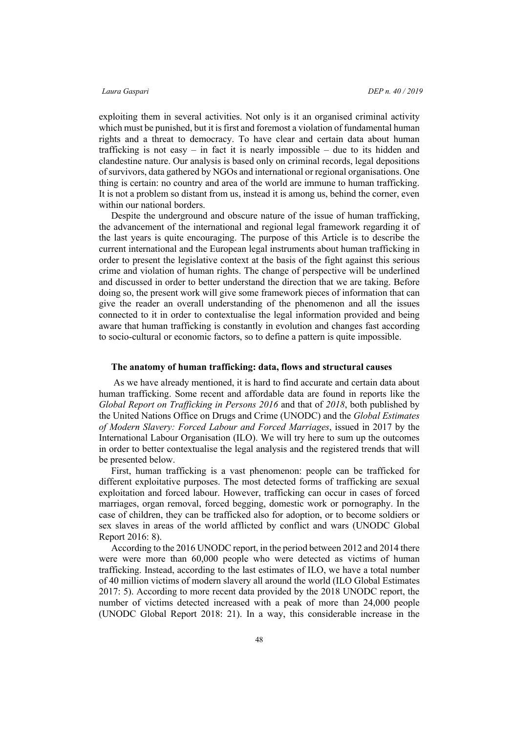exploiting them in several activities. Not only is it an organised criminal activity which must be punished, but it is first and foremost a violation of fundamental human rights and a threat to democracy. To have clear and certain data about human trafficking is not easy – in fact it is nearly impossible – due to its hidden and clandestine nature. Our analysis is based only on criminal records, legal depositions of survivors, data gathered by NGOs and international or regional organisations. One thing is certain: no country and area of the world are immune to human trafficking. It is not a problem so distant from us, instead it is among us, behind the corner, even within our national borders.

Despite the underground and obscure nature of the issue of human trafficking, the advancement of the international and regional legal framework regarding it of the last years is quite encouraging. The purpose of this Article is to describe the current international and the European legal instruments about human trafficking in order to present the legislative context at the basis of the fight against this serious crime and violation of human rights. The change of perspective will be underlined and discussed in order to better understand the direction that we are taking. Before doing so, the present work will give some framework pieces of information that can give the reader an overall understanding of the phenomenon and all the issues connected to it in order to contextualise the legal information provided and being aware that human trafficking is constantly in evolution and changes fast according to socio-cultural or economic factors, so to define a pattern is quite impossible.

# **The anatomy of human trafficking: data, flows and structural causes**

As we have already mentioned, it is hard to find accurate and certain data about human trafficking. Some recent and affordable data are found in reports like the *Global Report on Trafficking in Persons 2016* and that of *2018*, both published by the United Nations Office on Drugs and Crime (UNODC) and the *Global Estimates of Modern Slavery: Forced Labour and Forced Marriages*, issued in 2017 by the International Labour Organisation (ILO). We will try here to sum up the outcomes in order to better contextualise the legal analysis and the registered trends that will be presented below.

First, human trafficking is a vast phenomenon: people can be trafficked for different exploitative purposes. The most detected forms of trafficking are sexual exploitation and forced labour. However, trafficking can occur in cases of forced marriages, organ removal, forced begging, domestic work or pornography. In the case of children, they can be trafficked also for adoption, or to become soldiers or sex slaves in areas of the world afflicted by conflict and wars (UNODC Global Report 2016: 8).

According to the 2016 UNODC report, in the period between 2012 and 2014 there were were more than 60,000 people who were detected as victims of human trafficking. Instead, according to the last estimates of ILO, we have a total number of 40 million victims of modern slavery all around the world (ILO Global Estimates 2017: 5). According to more recent data provided by the 2018 UNODC report, the number of victims detected increased with a peak of more than 24,000 people (UNODC Global Report 2018: 21). In a way, this considerable increase in the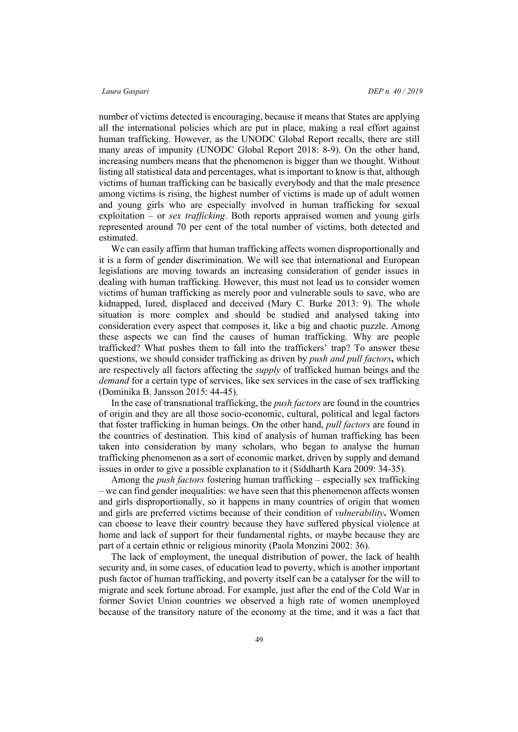number of victims detected is encouraging, because it means that States are applying all the international policies which are put in place, making a real effort against human trafficking. However, as the UNODC Global Report recalls, there are still many areas of impunity (UNODC Global Report 2018: 8-9). On the other hand, increasing numbers means that the phenomenon is bigger than we thought. Without listing all statistical data and percentages, what is important to know is that, although victims of human trafficking can be basically everybody and that the male presence among victims is rising, the highest number of victims is made up of adult women and young girls who are especially involved in human trafficking for sexual exploitation – or *sex trafficking*. Both reports appraised women and young girls represented around 70 per cent of the total number of victims, both detected and estimated.

We can easily affirm that human trafficking affects women disproportionally and it is a form of gender discrimination. We will see that international and European legislations are moving towards an increasing consideration of gender issues in dealing with human trafficking. However, this must not lead us to consider women victims of human trafficking as merely poor and vulnerable souls to save, who are kidnapped, lured, displaced and deceived (Mary C. Burke 2013: 9). The whole situation is more complex and should be studied and analysed taking into consideration every aspect that composes it, like a big and chaotic puzzle. Among these aspects we can find the causes of human trafficking. Why are people trafficked? What pushes them to fall into the traffickers' trap? To answer these questions, we should consider trafficking as driven by *push and pull factors***,** which are respectively all factors affecting the *supply* of trafficked human beings and the *demand* for a certain type of services, like sex services in the case of sex trafficking (Dominika B. Jansson 2015: 44-45).

In the case of transnational trafficking, the *push factors* are found in the countries of origin and they are all those socio-economic, cultural, political and legal factors that foster trafficking in human beings. On the other hand, *pull factors* are found in the countries of destination. This kind of analysis of human trafficking has been taken into consideration by many scholars, who began to analyse the human trafficking phenomenon as a sort of economic market, driven by supply and demand issues in order to give a possible explanation to it (Siddharth Kara 2009: 34-35).

Among the *push factors* fostering human trafficking – especially sex trafficking – we can find gender inequalities: we have seen that this phenomenon affects women and girls disproportionally, so it happens in many countries of origin that women and girls are preferred victims because of their condition of *vulnerability***.** Women can choose to leave their country because they have suffered physical violence at home and lack of support for their fundamental rights, or maybe because they are part of a certain ethnic or religious minority (Paola Monzini 2002: 36).

The lack of employment, the unequal distribution of power, the lack of health security and, in some cases, of education lead to poverty, which is another important push factor of human trafficking, and poverty itself can be a catalyser for the will to migrate and seek fortune abroad. For example, just after the end of the Cold War in former Soviet Union countries we observed a high rate of women unemployed because of the transitory nature of the economy at the time, and it was a fact that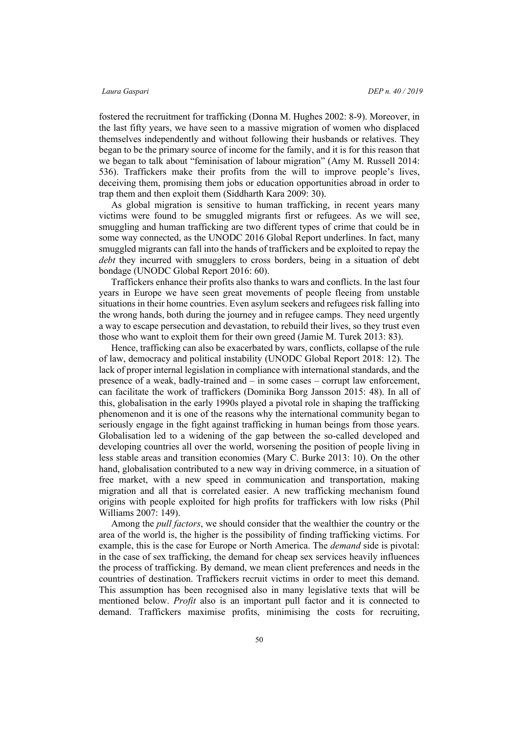fostered the recruitment for trafficking (Donna M. Hughes 2002: 8-9). Moreover, in the last fifty years, we have seen to a massive migration of women who displaced themselves independently and without following their husbands or relatives. They began to be the primary source of income for the family, and it is for this reason that we began to talk about "feminisation of labour migration" (Amy M. Russell 2014: 536). Traffickers make their profits from the will to improve people's lives, deceiving them, promising them jobs or education opportunities abroad in order to trap them and then exploit them (Siddharth Kara 2009: 30).

As global migration is sensitive to human trafficking, in recent years many victims were found to be smuggled migrants first or refugees. As we will see, smuggling and human trafficking are two different types of crime that could be in some way connected, as the UNODC 2016 Global Report underlines. In fact, many smuggled migrants can fall into the hands of traffickers and be exploited to repay the *debt* they incurred with smugglers to cross borders, being in a situation of debt bondage (UNODC Global Report 2016: 60).

Traffickers enhance their profits also thanks to wars and conflicts. In the last four years in Europe we have seen great movements of people fleeing from unstable situations in their home countries. Even asylum seekers and refugees risk falling into the wrong hands, both during the journey and in refugee camps. They need urgently a way to escape persecution and devastation, to rebuild their lives, so they trust even those who want to exploit them for their own greed (Jamie M. Turek 2013: 83).

Hence, trafficking can also be exacerbated by wars, conflicts, collapse of the rule of law, democracy and political instability (UNODC Global Report 2018: 12). The lack of proper internal legislation in compliance with international standards, and the presence of a weak, badly-trained and – in some cases – corrupt law enforcement, can facilitate the work of traffickers (Dominika Borg Jansson 2015: 48). In all of this, globalisation in the early 1990s played a pivotal role in shaping the trafficking phenomenon and it is one of the reasons why the international community began to seriously engage in the fight against trafficking in human beings from those years. Globalisation led to a widening of the gap between the so-called developed and developing countries all over the world, worsening the position of people living in less stable areas and transition economies (Mary C. Burke 2013: 10). On the other hand, globalisation contributed to a new way in driving commerce, in a situation of free market, with a new speed in communication and transportation, making migration and all that is correlated easier. A new trafficking mechanism found origins with people exploited for high profits for traffickers with low risks (Phil Williams 2007: 149).

Among the *pull factors*, we should consider that the wealthier the country or the area of the world is, the higher is the possibility of finding trafficking victims. For example, this is the case for Europe or North America. The *demand* side is pivotal: in the case of sex trafficking, the demand for cheap sex services heavily influences the process of trafficking. By demand, we mean client preferences and needs in the countries of destination. Traffickers recruit victims in order to meet this demand. This assumption has been recognised also in many legislative texts that will be mentioned below. *Profit* also is an important pull factor and it is connected to demand. Traffickers maximise profits, minimising the costs for recruiting,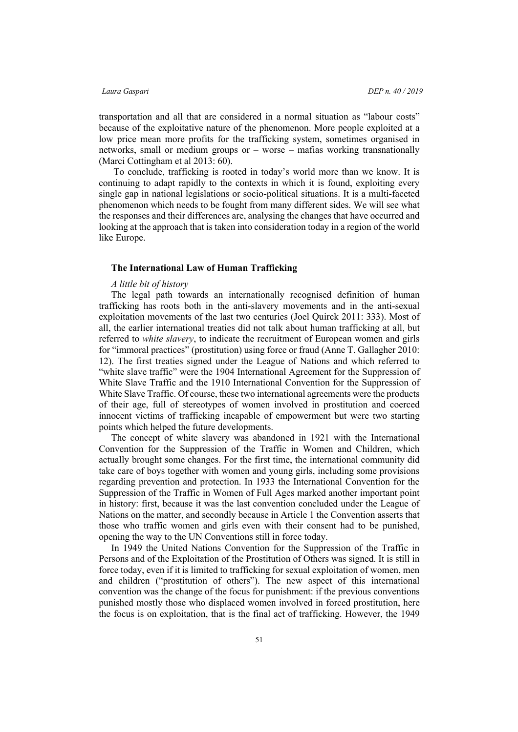transportation and all that are considered in a normal situation as "labour costs" because of the exploitative nature of the phenomenon. More people exploited at a low price mean more profits for the trafficking system, sometimes organised in networks, small or medium groups or – worse – mafias working transnationally (Marci Cottingham et al 2013: 60).

To conclude, trafficking is rooted in today's world more than we know. It is continuing to adapt rapidly to the contexts in which it is found, exploiting every single gap in national legislations or socio-political situations. It is a multi-faceted phenomenon which needs to be fought from many different sides. We will see what the responses and their differences are, analysing the changes that have occurred and looking at the approach that is taken into consideration today in a region of the world like Europe.

### **The International Law of Human Trafficking**

## *A little bit of history*

The legal path towards an internationally recognised definition of human trafficking has roots both in the anti-slavery movements and in the anti-sexual exploitation movements of the last two centuries (Joel Quirck 2011: 333). Most of all, the earlier international treaties did not talk about human trafficking at all, but referred to *white slavery*, to indicate the recruitment of European women and girls for "immoral practices" (prostitution) using force or fraud (Anne T. Gallagher 2010: 12). The first treaties signed under the League of Nations and which referred to "white slave traffic" were the 1904 International Agreement for the Suppression of White Slave Traffic and the 1910 International Convention for the Suppression of White Slave Traffic. Of course, these two international agreements were the products of their age, full of stereotypes of women involved in prostitution and coerced innocent victims of trafficking incapable of empowerment but were two starting points which helped the future developments.

The concept of white slavery was abandoned in 1921 with the International Convention for the Suppression of the Traffic in Women and Children, which actually brought some changes. For the first time, the international community did take care of boys together with women and young girls, including some provisions regarding prevention and protection. In 1933 the International Convention for the Suppression of the Traffic in Women of Full Ages marked another important point in history: first, because it was the last convention concluded under the League of Nations on the matter, and secondly because in Article 1 the Convention asserts that those who traffic women and girls even with their consent had to be punished, opening the way to the UN Conventions still in force today.

In 1949 the United Nations Convention for the Suppression of the Traffic in Persons and of the Exploitation of the Prostitution of Others was signed. It is still in force today, even if it is limited to trafficking for sexual exploitation of women, men and children ("prostitution of others"). The new aspect of this international convention was the change of the focus for punishment: if the previous conventions punished mostly those who displaced women involved in forced prostitution, here the focus is on exploitation, that is the final act of trafficking. However, the 1949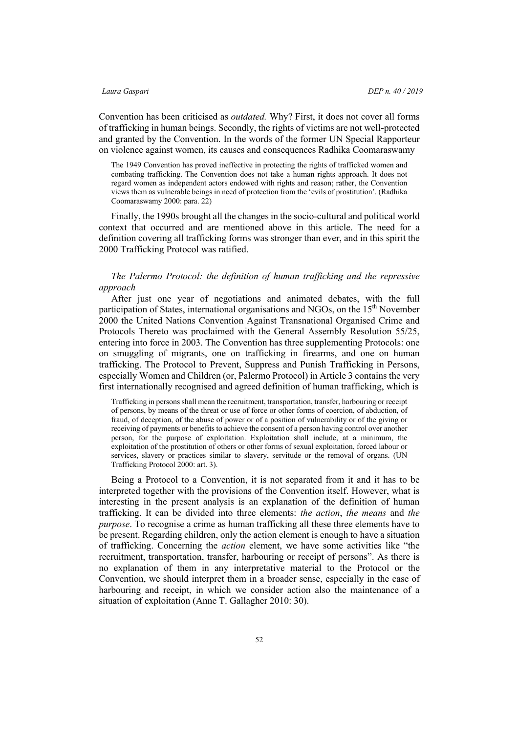Convention has been criticised as *outdated.* Why? First, it does not cover all forms of trafficking in human beings. Secondly, the rights of victims are not well-protected and granted by the Convention. In the words of the former UN Special Rapporteur on violence against women, its causes and consequences Radhika Coomaraswamy

The 1949 Convention has proved ineffective in protecting the rights of trafficked women and combating trafficking. The Convention does not take a human rights approach. It does not regard women as independent actors endowed with rights and reason; rather, the Convention views them as vulnerable beings in need of protection from the 'evils of prostitution'. (Radhika Coomaraswamy 2000: para. 22)

Finally, the 1990s brought all the changes in the socio-cultural and political world context that occurred and are mentioned above in this article. The need for a definition covering all trafficking forms was stronger than ever, and in this spirit the 2000 Trafficking Protocol was ratified.

# *The Palermo Protocol: the definition of human trafficking and the repressive approach*

After just one year of negotiations and animated debates, with the full participation of States, international organisations and NGOs, on the 15<sup>th</sup> November 2000 the United Nations Convention Against Transnational Organised Crime and Protocols Thereto was proclaimed with the General Assembly Resolution 55/25, entering into force in 2003. The Convention has three supplementing Protocols: one on smuggling of migrants, one on trafficking in firearms, and one on human trafficking. The Protocol to Prevent, Suppress and Punish Trafficking in Persons, especially Women and Children (or, Palermo Protocol) in Article 3 contains the very first internationally recognised and agreed definition of human trafficking, which is

Trafficking in persons shall mean the recruitment, transportation, transfer, harbouring or receipt of persons, by means of the threat or use of force or other forms of coercion, of abduction, of fraud, of deception, of the abuse of power or of a position of vulnerability or of the giving or receiving of payments or benefits to achieve the consent of a person having control over another person, for the purpose of exploitation. Exploitation shall include, at a minimum, the exploitation of the prostitution of others or other forms of sexual exploitation, forced labour or services, slavery or practices similar to slavery, servitude or the removal of organs. (UN Trafficking Protocol 2000: art. 3).

Being a Protocol to a Convention, it is not separated from it and it has to be interpreted together with the provisions of the Convention itself. However, what is interesting in the present analysis is an explanation of the definition of human trafficking. It can be divided into three elements: *the action*, *the means* and *the purpose*. To recognise a crime as human trafficking all these three elements have to be present. Regarding children, only the action element is enough to have a situation of trafficking. Concerning the *action* element, we have some activities like "the recruitment, transportation, transfer, harbouring or receipt of persons". As there is no explanation of them in any interpretative material to the Protocol or the Convention, we should interpret them in a broader sense, especially in the case of harbouring and receipt, in which we consider action also the maintenance of a situation of exploitation (Anne T. Gallagher 2010: 30).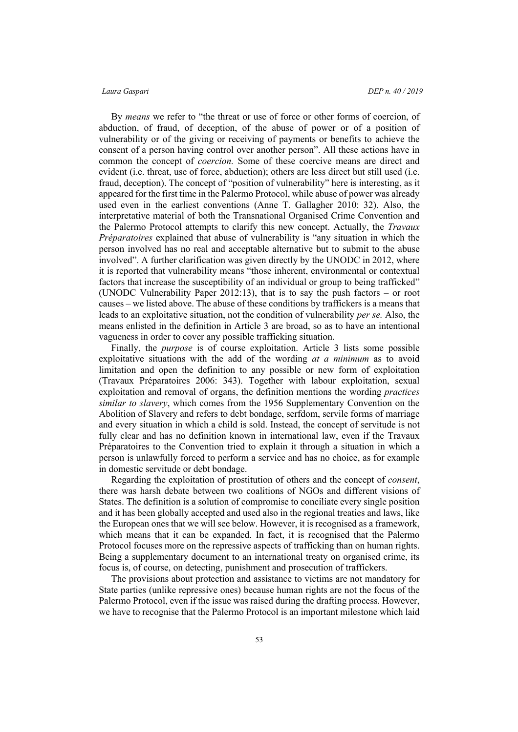By *means* we refer to "the threat or use of force or other forms of coercion, of abduction, of fraud, of deception, of the abuse of power or of a position of vulnerability or of the giving or receiving of payments or benefits to achieve the consent of a person having control over another person". All these actions have in common the concept of *coercion.* Some of these coercive means are direct and evident (i.e. threat, use of force, abduction); others are less direct but still used (i.e. fraud, deception). The concept of "position of vulnerability" here is interesting, as it appeared for the first time in the Palermo Protocol, while abuse of power was already used even in the earliest conventions (Anne T. Gallagher 2010: 32). Also, the interpretative material of both the Transnational Organised Crime Convention and the Palermo Protocol attempts to clarify this new concept. Actually, the *Travaux Préparatoires* explained that abuse of vulnerability is "any situation in which the person involved has no real and acceptable alternative but to submit to the abuse involved". A further clarification was given directly by the UNODC in 2012, where it is reported that vulnerability means "those inherent, environmental or contextual factors that increase the susceptibility of an individual or group to being trafficked" (UNODC Vulnerability Paper 2012:13), that is to say the push factors – or root causes – we listed above. The abuse of these conditions by traffickers is a means that leads to an exploitative situation, not the condition of vulnerability *per se.* Also, the means enlisted in the definition in Article 3 are broad, so as to have an intentional vagueness in order to cover any possible trafficking situation.

Finally, the *purpose* is of course exploitation. Article 3 lists some possible exploitative situations with the add of the wording *at a minimum* as to avoid limitation and open the definition to any possible or new form of exploitation (Travaux Préparatoires 2006: 343). Together with labour exploitation, sexual exploitation and removal of organs, the definition mentions the wording *practices similar to slavery*, which comes from the 1956 Supplementary Convention on the Abolition of Slavery and refers to debt bondage, serfdom, servile forms of marriage and every situation in which a child is sold. Instead, the concept of servitude is not fully clear and has no definition known in international law, even if the Travaux Préparatoires to the Convention tried to explain it through a situation in which a person is unlawfully forced to perform a service and has no choice, as for example in domestic servitude or debt bondage.

Regarding the exploitation of prostitution of others and the concept of *consent*, there was harsh debate between two coalitions of NGOs and different visions of States. The definition is a solution of compromise to conciliate every single position and it has been globally accepted and used also in the regional treaties and laws, like the European ones that we will see below. However, it is recognised as a framework, which means that it can be expanded. In fact, it is recognised that the Palermo Protocol focuses more on the repressive aspects of trafficking than on human rights. Being a supplementary document to an international treaty on organised crime, its focus is, of course, on detecting, punishment and prosecution of traffickers.

The provisions about protection and assistance to victims are not mandatory for State parties (unlike repressive ones) because human rights are not the focus of the Palermo Protocol, even if the issue was raised during the drafting process. However, we have to recognise that the Palermo Protocol is an important milestone which laid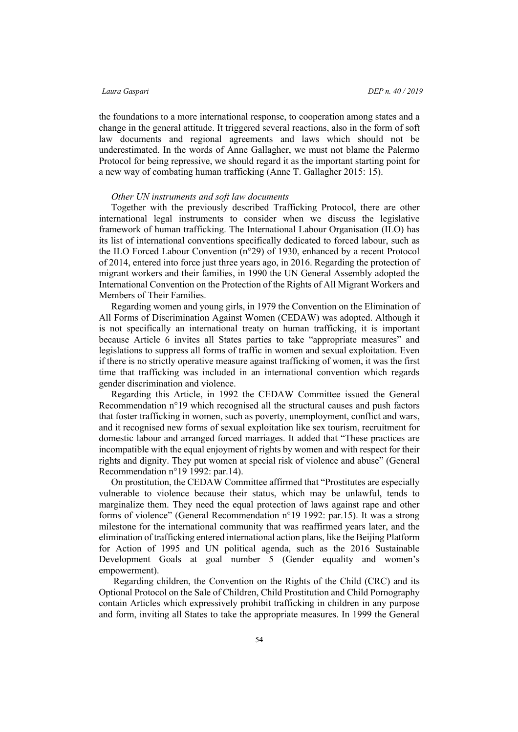the foundations to a more international response, to cooperation among states and a change in the general attitude. It triggered several reactions, also in the form of soft law documents and regional agreements and laws which should not be underestimated. In the words of Anne Gallagher, we must not blame the Palermo Protocol for being repressive, we should regard it as the important starting point for a new way of combating human trafficking (Anne T. Gallagher 2015: 15).

### *Other UN instruments and soft law documents*

Together with the previously described Trafficking Protocol, there are other international legal instruments to consider when we discuss the legislative framework of human trafficking. The International Labour Organisation (ILO) has its list of international conventions specifically dedicated to forced labour, such as the ILO Forced Labour Convention (n°29) of 1930, enhanced by a recent Protocol of 2014, entered into force just three years ago, in 2016. Regarding the protection of migrant workers and their families, in 1990 the UN General Assembly adopted the International Convention on the Protection of the Rights of All Migrant Workers and Members of Their Families.

Regarding women and young girls, in 1979 the Convention on the Elimination of All Forms of Discrimination Against Women (CEDAW) was adopted. Although it is not specifically an international treaty on human trafficking, it is important because Article 6 invites all States parties to take "appropriate measures" and legislations to suppress all forms of traffic in women and sexual exploitation. Even if there is no strictly operative measure against trafficking of women, it was the first time that trafficking was included in an international convention which regards gender discrimination and violence.

Regarding this Article, in 1992 the CEDAW Committee issued the General Recommendation n°19 which recognised all the structural causes and push factors that foster trafficking in women, such as poverty, unemployment, conflict and wars, and it recognised new forms of sexual exploitation like sex tourism, recruitment for domestic labour and arranged forced marriages. It added that "These practices are incompatible with the equal enjoyment of rights by women and with respect for their rights and dignity. They put women at special risk of violence and abuse" (General Recommendation n°19 1992: par.14).

On prostitution, the CEDAW Committee affirmed that "Prostitutes are especially vulnerable to violence because their status, which may be unlawful, tends to marginalize them. They need the equal protection of laws against rape and other forms of violence" (General Recommendation n°19 1992: par.15). It was a strong milestone for the international community that was reaffirmed years later, and the elimination of trafficking entered international action plans, like the Beijing Platform for Action of 1995 and UN political agenda, such as the 2016 Sustainable Development Goals at goal number 5 (Gender equality and women's empowerment).

Regarding children, the Convention on the Rights of the Child (CRC) and its Optional Protocol on the Sale of Children, Child Prostitution and Child Pornography contain Articles which expressively prohibit trafficking in children in any purpose and form, inviting all States to take the appropriate measures. In 1999 the General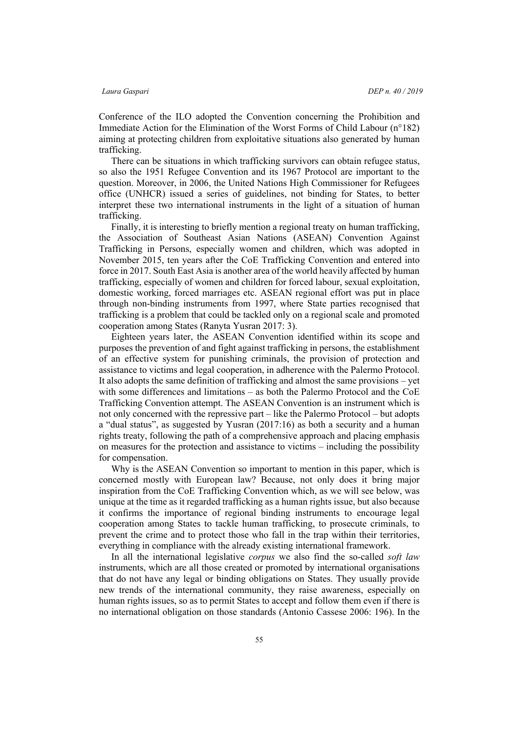Conference of the ILO adopted the Convention concerning the Prohibition and Immediate Action for the Elimination of the Worst Forms of Child Labour (n°182) aiming at protecting children from exploitative situations also generated by human trafficking.

There can be situations in which trafficking survivors can obtain refugee status, so also the 1951 Refugee Convention and its 1967 Protocol are important to the question. Moreover, in 2006, the United Nations High Commissioner for Refugees office (UNHCR) issued a series of guidelines, not binding for States, to better interpret these two international instruments in the light of a situation of human trafficking.

Finally, it is interesting to briefly mention a regional treaty on human trafficking, the Association of Southeast Asian Nations (ASEAN) Convention Against Trafficking in Persons, especially women and children, which was adopted in November 2015, ten years after the CoE Trafficking Convention and entered into force in 2017. South East Asia is another area of the world heavily affected by human trafficking, especially of women and children for forced labour, sexual exploitation, domestic working, forced marriages etc. ASEAN regional effort was put in place through non-binding instruments from 1997, where State parties recognised that trafficking is a problem that could be tackled only on a regional scale and promoted cooperation among States (Ranyta Yusran 2017: 3).

Eighteen years later, the ASEAN Convention identified within its scope and purposes the prevention of and fight against trafficking in persons, the establishment of an effective system for punishing criminals, the provision of protection and assistance to victims and legal cooperation, in adherence with the Palermo Protocol. It also adopts the same definition of trafficking and almost the same provisions – yet with some differences and limitations – as both the Palermo Protocol and the CoE Trafficking Convention attempt. The ASEAN Convention is an instrument which is not only concerned with the repressive part – like the Palermo Protocol – but adopts a "dual status", as suggested by Yusran (2017:16) as both a security and a human rights treaty, following the path of a comprehensive approach and placing emphasis on measures for the protection and assistance to victims – including the possibility for compensation.

Why is the ASEAN Convention so important to mention in this paper, which is concerned mostly with European law? Because, not only does it bring major inspiration from the CoE Trafficking Convention which, as we will see below, was unique at the time as it regarded trafficking as a human rights issue, but also because it confirms the importance of regional binding instruments to encourage legal cooperation among States to tackle human trafficking, to prosecute criminals, to prevent the crime and to protect those who fall in the trap within their territories, everything in compliance with the already existing international framework.

In all the international legislative *corpus* we also find the so-called *soft law* instruments, which are all those created or promoted by international organisations that do not have any legal or binding obligations on States. They usually provide new trends of the international community, they raise awareness, especially on human rights issues, so as to permit States to accept and follow them even if there is no international obligation on those standards (Antonio Cassese 2006: 196). In the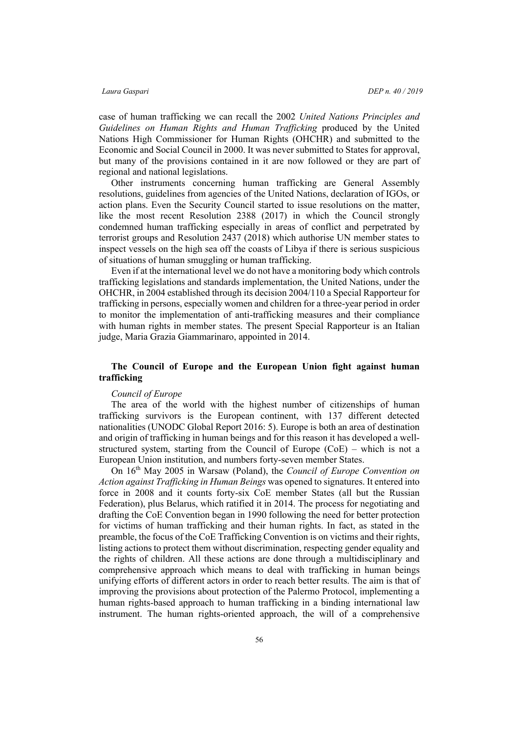case of human trafficking we can recall the 2002 *United Nations Principles and Guidelines on Human Rights and Human Trafficking* produced by the United Nations High Commissioner for Human Rights (OHCHR) and submitted to the Economic and Social Council in 2000. It was never submitted to States for approval, but many of the provisions contained in it are now followed or they are part of regional and national legislations.

Other instruments concerning human trafficking are General Assembly resolutions, guidelines from agencies of the United Nations, declaration of IGOs, or action plans. Even the Security Council started to issue resolutions on the matter, like the most recent Resolution 2388 (2017) in which the Council strongly condemned human trafficking especially in areas of conflict and perpetrated by terrorist groups and Resolution 2437 (2018) which authorise UN member states to inspect vessels on the high sea off the coasts of Libya if there is serious suspicious of situations of human smuggling or human trafficking.

Even if at the international level we do not have a monitoring body which controls trafficking legislations and standards implementation, the United Nations, under the OHCHR, in 2004 established through its decision 2004/110 a Special Rapporteur for trafficking in persons, especially women and children for a three-year period in order to monitor the implementation of anti-trafficking measures and their compliance with human rights in member states. The present Special Rapporteur is an Italian judge, Maria Grazia Giammarinaro, appointed in 2014.

# **The Council of Europe and the European Union fight against human trafficking**

# *Council of Europe*

The area of the world with the highest number of citizenships of human trafficking survivors is the European continent, with 137 different detected nationalities (UNODC Global Report 2016: 5). Europe is both an area of destination and origin of trafficking in human beings and for this reason it has developed a wellstructured system, starting from the Council of Europe (CoE) – which is not a European Union institution, and numbers forty-seven member States.

On 16th May 2005 in Warsaw (Poland), the *Council of Europe Convention on Action against Trafficking in Human Beings* was opened to signatures. It entered into force in 2008 and it counts forty-six CoE member States (all but the Russian Federation), plus Belarus, which ratified it in 2014. The process for negotiating and drafting the CoE Convention began in 1990 following the need for better protection for victims of human trafficking and their human rights. In fact, as stated in the preamble, the focus of the CoE Trafficking Convention is on victims and their rights, listing actions to protect them without discrimination, respecting gender equality and the rights of children. All these actions are done through a multidisciplinary and comprehensive approach which means to deal with trafficking in human beings unifying efforts of different actors in order to reach better results. The aim is that of improving the provisions about protection of the Palermo Protocol, implementing a human rights-based approach to human trafficking in a binding international law instrument. The human rights-oriented approach, the will of a comprehensive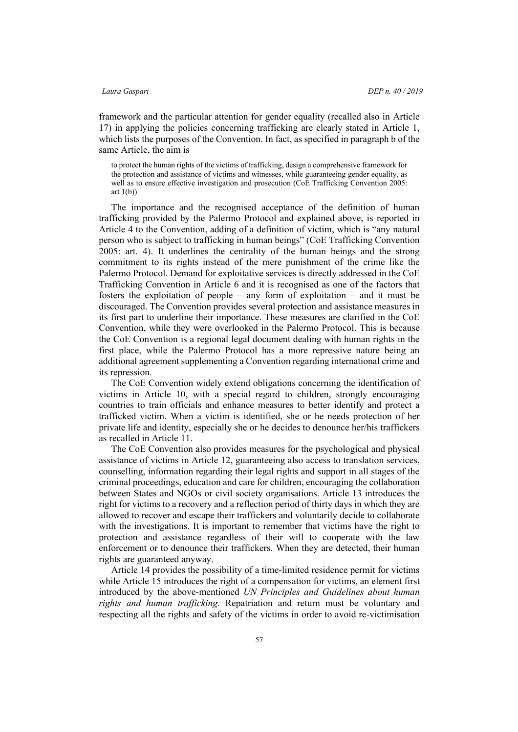framework and the particular attention for gender equality (recalled also in Article 17) in applying the policies concerning trafficking are clearly stated in Article 1, which lists the purposes of the Convention. In fact, as specified in paragraph b of the same Article, the aim is

to protect the human rights of the victims of trafficking, design a comprehensive framework for the protection and assistance of victims and witnesses, while guaranteeing gender equality, as well as to ensure effective investigation and prosecution (CoE Trafficking Convention 2005: art  $1(b)$ )

The importance and the recognised acceptance of the definition of human trafficking provided by the Palermo Protocol and explained above, is reported in Article 4 to the Convention, adding of a definition of victim, which is "any natural person who is subject to trafficking in human beings" (CoE Trafficking Convention 2005: art. 4). It underlines the centrality of the human beings and the strong commitment to its rights instead of the mere punishment of the crime like the Palermo Protocol. Demand for exploitative services is directly addressed in the CoE Trafficking Convention in Article 6 and it is recognised as one of the factors that fosters the exploitation of people – any form of exploitation – and it must be discouraged. The Convention provides several protection and assistance measures in its first part to underline their importance. These measures are clarified in the CoE Convention, while they were overlooked in the Palermo Protocol. This is because the CoE Convention is a regional legal document dealing with human rights in the first place, while the Palermo Protocol has a more repressive nature being an additional agreement supplementing a Convention regarding international crime and its repression.

The CoE Convention widely extend obligations concerning the identification of victims in Article 10, with a special regard to children, strongly encouraging countries to train officials and enhance measures to better identify and protect a trafficked victim. When a victim is identified, she or he needs protection of her private life and identity, especially she or he decides to denounce her/his traffickers as recalled in Article 11.

The CoE Convention also provides measures for the psychological and physical assistance of victims in Article 12, guaranteeing also access to translation services, counselling, information regarding their legal rights and support in all stages of the criminal proceedings, education and care for children, encouraging the collaboration between States and NGOs or civil society organisations. Article 13 introduces the right for victims to a recovery and a reflection period of thirty days in which they are allowed to recover and escape their traffickers and voluntarily decide to collaborate with the investigations. It is important to remember that victims have the right to protection and assistance regardless of their will to cooperate with the law enforcement or to denounce their traffickers. When they are detected, their human rights are guaranteed anyway.

Article 14 provides the possibility of a time-limited residence permit for victims while Article 15 introduces the right of a compensation for victims, an element first introduced by the above-mentioned *UN Principles and Guidelines about human rights and human trafficking*. Repatriation and return must be voluntary and respecting all the rights and safety of the victims in order to avoid re-victimisation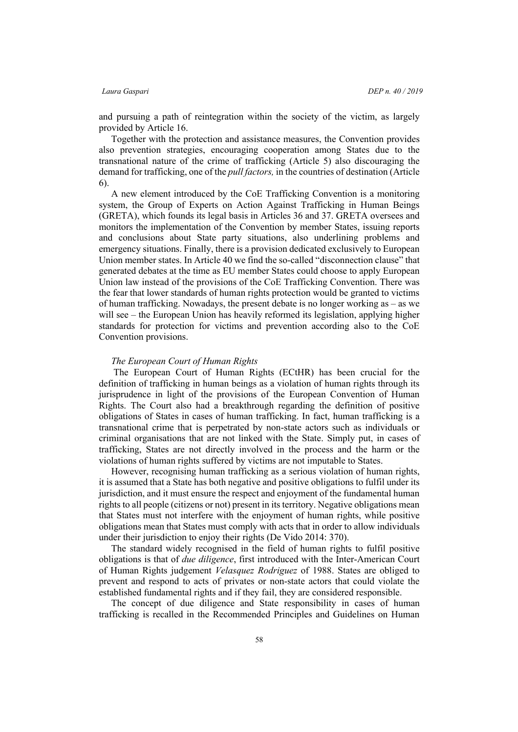and pursuing a path of reintegration within the society of the victim, as largely provided by Article 16.

Together with the protection and assistance measures, the Convention provides also prevention strategies, encouraging cooperation among States due to the transnational nature of the crime of trafficking (Article 5) also discouraging the demand for trafficking, one of the *pull factors,* in the countries of destination (Article 6).

A new element introduced by the CoE Trafficking Convention is a monitoring system, the Group of Experts on Action Against Trafficking in Human Beings (GRETA), which founds its legal basis in Articles 36 and 37. GRETA oversees and monitors the implementation of the Convention by member States, issuing reports and conclusions about State party situations, also underlining problems and emergency situations. Finally, there is a provision dedicated exclusively to European Union member states. In Article 40 we find the so-called "disconnection clause" that generated debates at the time as EU member States could choose to apply European Union law instead of the provisions of the CoE Trafficking Convention. There was the fear that lower standards of human rights protection would be granted to victims of human trafficking. Nowadays, the present debate is no longer working as – as we will see – the European Union has heavily reformed its legislation, applying higher standards for protection for victims and prevention according also to the CoE Convention provisions.

### *The European Court of Human Rights*

The European Court of Human Rights (ECtHR) has been crucial for the definition of trafficking in human beings as a violation of human rights through its jurisprudence in light of the provisions of the European Convention of Human Rights. The Court also had a breakthrough regarding the definition of positive obligations of States in cases of human trafficking. In fact, human trafficking is a transnational crime that is perpetrated by non-state actors such as individuals or criminal organisations that are not linked with the State. Simply put, in cases of trafficking, States are not directly involved in the process and the harm or the violations of human rights suffered by victims are not imputable to States.

However, recognising human trafficking as a serious violation of human rights, it is assumed that a State has both negative and positive obligations to fulfil under its jurisdiction, and it must ensure the respect and enjoyment of the fundamental human rights to all people (citizens or not) present in its territory. Negative obligations mean that States must not interfere with the enjoyment of human rights, while positive obligations mean that States must comply with acts that in order to allow individuals under their jurisdiction to enjoy their rights (De Vido 2014: 370).

The standard widely recognised in the field of human rights to fulfil positive obligations is that of *due diligence*, first introduced with the Inter-American Court of Human Rights judgement *Velasquez Rodriguez* of 1988. States are obliged to prevent and respond to acts of privates or non-state actors that could violate the established fundamental rights and if they fail, they are considered responsible.

The concept of due diligence and State responsibility in cases of human trafficking is recalled in the Recommended Principles and Guidelines on Human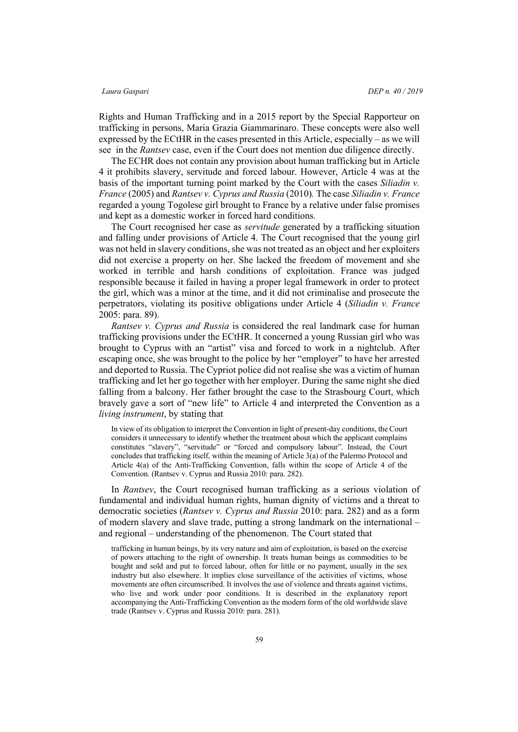Rights and Human Trafficking and in a 2015 report by the Special Rapporteur on trafficking in persons, Maria Grazia Giammarinaro. These concepts were also well expressed by the ECtHR in the cases presented in this Article, especially – as we will see in the *Rantsev* case, even if the Court does not mention due diligence directly.

The ECHR does not contain any provision about human trafficking but in Article 4 it prohibits slavery, servitude and forced labour. However, Article 4 was at the basis of the important turning point marked by the Court with the cases *Siliadin v. France* (2005) and *Rantsev v. Cyprus and Russia* (2010)*.* The case *Siliadin v. France* regarded a young Togolese girl brought to France by a relative under false promises and kept as a domestic worker in forced hard conditions.

The Court recognised her case as *servitude* generated by a trafficking situation and falling under provisions of Article 4. The Court recognised that the young girl was not held in slavery conditions, she was not treated as an object and her exploiters did not exercise a property on her. She lacked the freedom of movement and she worked in terrible and harsh conditions of exploitation. France was judged responsible because it failed in having a proper legal framework in order to protect the girl, which was a minor at the time, and it did not criminalise and prosecute the perpetrators, violating its positive obligations under Article 4 (*Siliadin v. France* 2005: para. 89).

*Rantsev v. Cyprus and Russia* is considered the real landmark case for human trafficking provisions under the ECtHR. It concerned a young Russian girl who was brought to Cyprus with an "artist" visa and forced to work in a nightclub. After escaping once, she was brought to the police by her "employer" to have her arrested and deported to Russia. The Cypriot police did not realise she was a victim of human trafficking and let her go together with her employer. During the same night she died falling from a balcony. Her father brought the case to the Strasbourg Court, which bravely gave a sort of "new life" to Article 4 and interpreted the Convention as a *living instrument*, by stating that

In view of its obligation to interpret the Convention in light of present-day conditions, the Court considers it unnecessary to identify whether the treatment about which the applicant complains constitutes "slavery", "servitude" or "forced and compulsory labour". Instead, the Court concludes that trafficking itself, within the meaning of Article 3(a) of the Palermo Protocol and Article 4(a) of the Anti-Trafficking Convention, falls within the scope of Article 4 of the Convention. (Rantsev v. Cyprus and Russia 2010: para. 282).

In *Rantsev*, the Court recognised human trafficking as a serious violation of fundamental and individual human rights, human dignity of victims and a threat to democratic societies (*Rantsev v. Cyprus and Russia* 2010: para. 282) and as a form of modern slavery and slave trade, putting a strong landmark on the international – and regional – understanding of the phenomenon. The Court stated that

trafficking in human beings, by its very nature and aim of exploitation, is based on the exercise of powers attaching to the right of ownership. It treats human beings as commodities to be bought and sold and put to forced labour, often for little or no payment, usually in the sex industry but also elsewhere. It implies close surveillance of the activities of victims, whose movements are often circumscribed. It involves the use of violence and threats against victims, who live and work under poor conditions. It is described in the explanatory report accompanying the Anti-Trafficking Convention as the modern form of the old worldwide slave trade (Rantsev v. Cyprus and Russia 2010: para. 281).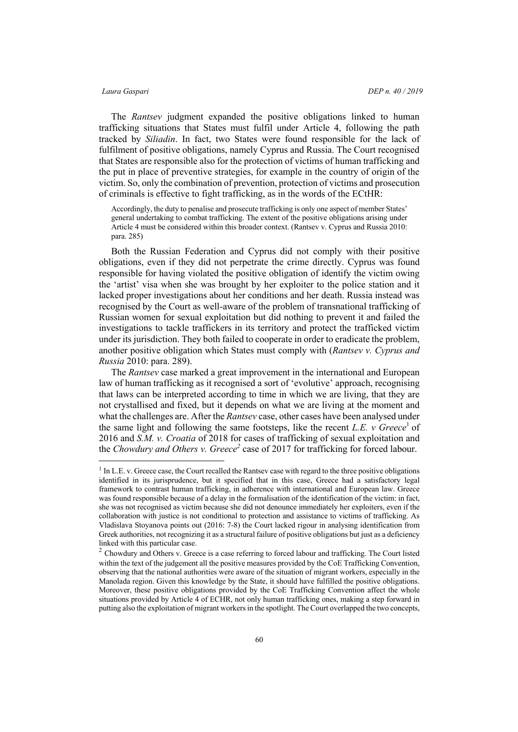The *Rantsev* judgment expanded the positive obligations linked to human trafficking situations that States must fulfil under Article 4, following the path tracked by *Siliadin*. In fact, two States were found responsible for the lack of fulfilment of positive obligations, namely Cyprus and Russia. The Court recognised that States are responsible also for the protection of victims of human trafficking and the put in place of preventive strategies, for example in the country of origin of the victim. So, only the combination of prevention, protection of victims and prosecution of criminals is effective to fight trafficking, as in the words of the ECtHR:

Accordingly, the duty to penalise and prosecute trafficking is only one aspect of member States' general undertaking to combat trafficking. The extent of the positive obligations arising under Article 4 must be considered within this broader context. (Rantsev v. Cyprus and Russia 2010: para. 285)

Both the Russian Federation and Cyprus did not comply with their positive obligations, even if they did not perpetrate the crime directly. Cyprus was found responsible for having violated the positive obligation of identify the victim owing the 'artist' visa when she was brought by her exploiter to the police station and it lacked proper investigations about her conditions and her death. Russia instead was recognised by the Court as well-aware of the problem of transnational trafficking of Russian women for sexual exploitation but did nothing to prevent it and failed the investigations to tackle traffickers in its territory and protect the trafficked victim under its jurisdiction. They both failed to cooperate in order to eradicate the problem, another positive obligation which States must comply with (*Rantsev v. Cyprus and Russia* 2010: para. 289).

The *Rantsev* case marked a great improvement in the international and European law of human trafficking as it recognised a sort of 'evolutive' approach, recognising that laws can be interpreted according to time in which we are living, that they are not crystallised and fixed, but it depends on what we are living at the moment and what the challenges are. After the *Rantsev* case, other cases have been analysed under the same light and following the same footsteps, like the recent  $L.E.$  v  $Greeze<sup>1</sup>$  of 2016 and *S.M. v. Croatia* of 2018 for cases of trafficking of sexual exploitation and the *Chowdury and Others v. Greece*<sup>2</sup> case of 2017 for trafficking for forced labour.

 $<sup>1</sup>$  In L.E. v. Greece case, the Court recalled the Rantsev case with regard to the three positive obligations</sup> identified in its jurisprudence, but it specified that in this case, Greece had a satisfactory legal framework to contrast human trafficking, in adherence with international and European law. Greece was found responsible because of a delay in the formalisation of the identification of the victim: in fact, she was not recognised as victim because she did not denounce immediately her exploiters, even if the collaboration with justice is not conditional to protection and assistance to victims of trafficking. As Vladislava Stoyanova points out (2016: 7-8) the Court lacked rigour in analysing identification from Greek authorities, not recognizing it as a structural failure of positive obligations but just as a deficiency linked with this particular case.

 $2$  Chowdury and Others v. Greece is a case referring to forced labour and trafficking. The Court listed within the text of the judgement all the positive measures provided by the CoE Trafficking Convention, observing that the national authorities were aware of the situation of migrant workers, especially in the Manolada region. Given this knowledge by the State, it should have fulfilled the positive obligations. Moreover, these positive obligations provided by the CoE Trafficking Convention affect the whole situations provided by Article 4 of ECHR, not only human trafficking ones, making a step forward in putting also the exploitation of migrant workers in the spotlight. The Court overlapped the two concepts,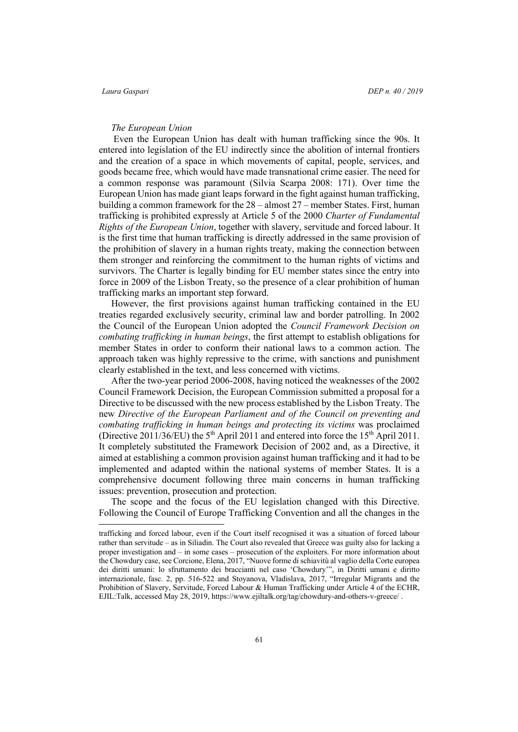### *The European Union*

Even the European Union has dealt with human trafficking since the 90s. It entered into legislation of the EU indirectly since the abolition of internal frontiers and the creation of a space in which movements of capital, people, services, and goods became free, which would have made transnational crime easier. The need for a common response was paramount (Silvia Scarpa 2008: 171). Over time the European Union has made giant leaps forward in the fight against human trafficking, building a common framework for the 28 – almost 27 – member States. First, human trafficking is prohibited expressly at Article 5 of the 2000 *Charter of Fundamental Rights of the European Union*, together with slavery, servitude and forced labour. It is the first time that human trafficking is directly addressed in the same provision of the prohibition of slavery in a human rights treaty, making the connection between them stronger and reinforcing the commitment to the human rights of victims and survivors. The Charter is legally binding for EU member states since the entry into force in 2009 of the Lisbon Treaty, so the presence of a clear prohibition of human trafficking marks an important step forward.

However, the first provisions against human trafficking contained in the EU treaties regarded exclusively security, criminal law and border patrolling. In 2002 the Council of the European Union adopted the *Council Framework Decision on combating trafficking in human beings*, the first attempt to establish obligations for member States in order to conform their national laws to a common action. The approach taken was highly repressive to the crime, with sanctions and punishment clearly established in the text, and less concerned with victims.

After the two-year period 2006-2008, having noticed the weaknesses of the 2002 Council Framework Decision, the European Commission submitted a proposal for a Directive to be discussed with the new process established by the Lisbon Treaty. The new *Directive of the European Parliament and of the Council on preventing and combating trafficking in human beings and protecting its victims* was proclaimed (Directive 2011/36/EU) the  $5<sup>th</sup>$  April 2011 and entered into force the  $15<sup>th</sup>$  April 2011. It completely substituted the Framework Decision of 2002 and, as a Directive, it aimed at establishing a common provision against human trafficking and it had to be implemented and adapted within the national systems of member States. It is a comprehensive document following three main concerns in human trafficking issues: prevention, prosecution and protection.

The scope and the focus of the EU legislation changed with this Directive. Following the Council of Europe Trafficking Convention and all the changes in the

trafficking and forced labour, even if the Court itself recognised it was a situation of forced labour rather than servitude – as in Siliadin. The Court also revealed that Greece was guilty also for lacking a proper investigation and – in some cases – prosecution of the exploiters. For more information about the Chowdury case, see Corcione, Elena, 2017, "Nuove forme di schiavitù al vaglio della Corte europea dei diritti umani: lo sfruttamento dei braccianti nel caso 'Chowdury'", in Diritti umani e diritto internazionale, fasc. 2, pp. 516-522 and Stoyanova, Vladislava, 2017, "Irregular Migrants and the Prohibition of Slavery, Servitude, Forced Labour & Human Trafficking under Article 4 of the ECHR, EJIL:Talk, accessed May 28, 2019, https://www.ejiltalk.org/tag/chowdury-and-others-v-greece/ .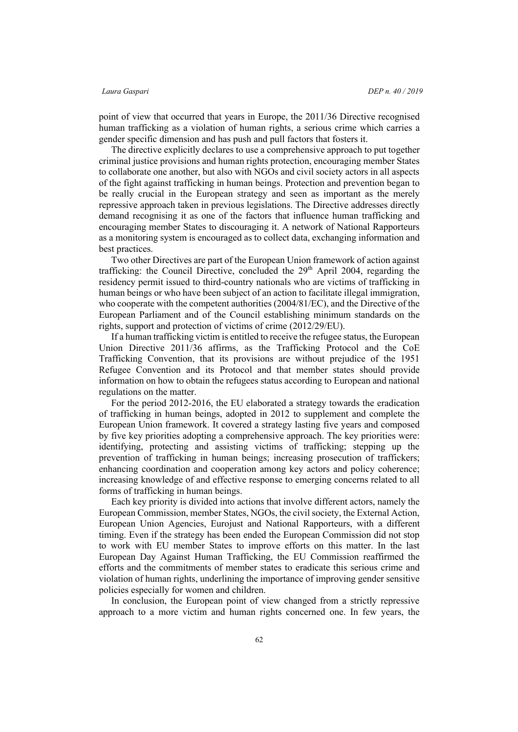point of view that occurred that years in Europe, the 2011/36 Directive recognised human trafficking as a violation of human rights, a serious crime which carries a gender specific dimension and has push and pull factors that fosters it.

The directive explicitly declares to use a comprehensive approach to put together criminal justice provisions and human rights protection, encouraging member States to collaborate one another, but also with NGOs and civil society actors in all aspects of the fight against trafficking in human beings. Protection and prevention began to be really crucial in the European strategy and seen as important as the merely repressive approach taken in previous legislations. The Directive addresses directly demand recognising it as one of the factors that influence human trafficking and encouraging member States to discouraging it. A network of National Rapporteurs as a monitoring system is encouraged as to collect data, exchanging information and best practices.

Two other Directives are part of the European Union framework of action against trafficking: the Council Directive, concluded the  $29<sup>th</sup>$  April 2004, regarding the residency permit issued to third-country nationals who are victims of trafficking in human beings or who have been subject of an action to facilitate illegal immigration, who cooperate with the competent authorities (2004/81/EC), and the Directive of the European Parliament and of the Council establishing minimum standards on the rights, support and protection of victims of crime (2012/29/EU).

If a human trafficking victim is entitled to receive the refugee status, the European Union Directive 2011/36 affirms, as the Trafficking Protocol and the CoE Trafficking Convention, that its provisions are without prejudice of the 1951 Refugee Convention and its Protocol and that member states should provide information on how to obtain the refugees status according to European and national regulations on the matter.

For the period 2012-2016, the EU elaborated a strategy towards the eradication of trafficking in human beings, adopted in 2012 to supplement and complete the European Union framework. It covered a strategy lasting five years and composed by five key priorities adopting a comprehensive approach. The key priorities were: identifying, protecting and assisting victims of trafficking; stepping up the prevention of trafficking in human beings; increasing prosecution of traffickers; enhancing coordination and cooperation among key actors and policy coherence; increasing knowledge of and effective response to emerging concerns related to all forms of trafficking in human beings.

Each key priority is divided into actions that involve different actors, namely the European Commission, member States, NGOs, the civil society, the External Action, European Union Agencies, Eurojust and National Rapporteurs, with a different timing. Even if the strategy has been ended the European Commission did not stop to work with EU member States to improve efforts on this matter. In the last European Day Against Human Trafficking, the EU Commission reaffirmed the efforts and the commitments of member states to eradicate this serious crime and violation of human rights, underlining the importance of improving gender sensitive policies especially for women and children.

In conclusion, the European point of view changed from a strictly repressive approach to a more victim and human rights concerned one. In few years, the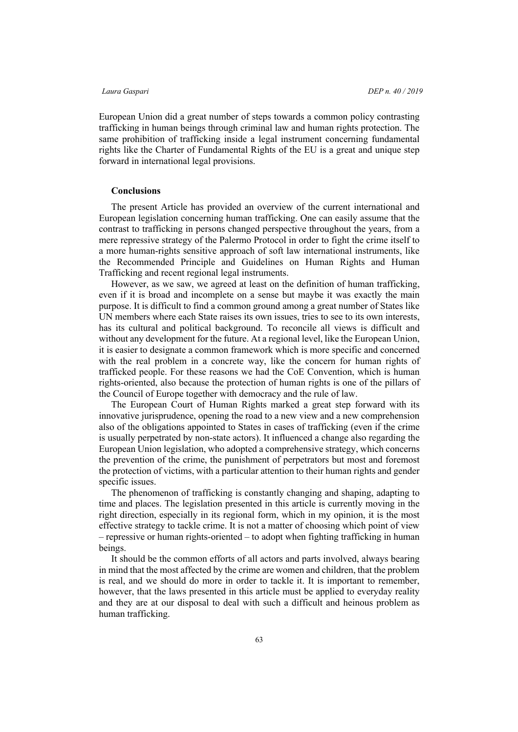European Union did a great number of steps towards a common policy contrasting trafficking in human beings through criminal law and human rights protection. The same prohibition of trafficking inside a legal instrument concerning fundamental rights like the Charter of Fundamental Rights of the EU is a great and unique step forward in international legal provisions.

### **Conclusions**

The present Article has provided an overview of the current international and European legislation concerning human trafficking. One can easily assume that the contrast to trafficking in persons changed perspective throughout the years, from a mere repressive strategy of the Palermo Protocol in order to fight the crime itself to a more human-rights sensitive approach of soft law international instruments, like the Recommended Principle and Guidelines on Human Rights and Human Trafficking and recent regional legal instruments.

However, as we saw, we agreed at least on the definition of human trafficking, even if it is broad and incomplete on a sense but maybe it was exactly the main purpose. It is difficult to find a common ground among a great number of States like UN members where each State raises its own issues, tries to see to its own interests, has its cultural and political background. To reconcile all views is difficult and without any development for the future. At a regional level, like the European Union, it is easier to designate a common framework which is more specific and concerned with the real problem in a concrete way, like the concern for human rights of trafficked people. For these reasons we had the CoE Convention, which is human rights-oriented, also because the protection of human rights is one of the pillars of the Council of Europe together with democracy and the rule of law.

The European Court of Human Rights marked a great step forward with its innovative jurisprudence, opening the road to a new view and a new comprehension also of the obligations appointed to States in cases of trafficking (even if the crime is usually perpetrated by non-state actors). It influenced a change also regarding the European Union legislation, who adopted a comprehensive strategy, which concerns the prevention of the crime, the punishment of perpetrators but most and foremost the protection of victims, with a particular attention to their human rights and gender specific issues.

The phenomenon of trafficking is constantly changing and shaping, adapting to time and places. The legislation presented in this article is currently moving in the right direction, especially in its regional form, which in my opinion, it is the most effective strategy to tackle crime. It is not a matter of choosing which point of view – repressive or human rights-oriented – to adopt when fighting trafficking in human beings.

It should be the common efforts of all actors and parts involved, always bearing in mind that the most affected by the crime are women and children, that the problem is real, and we should do more in order to tackle it. It is important to remember, however, that the laws presented in this article must be applied to everyday reality and they are at our disposal to deal with such a difficult and heinous problem as human trafficking.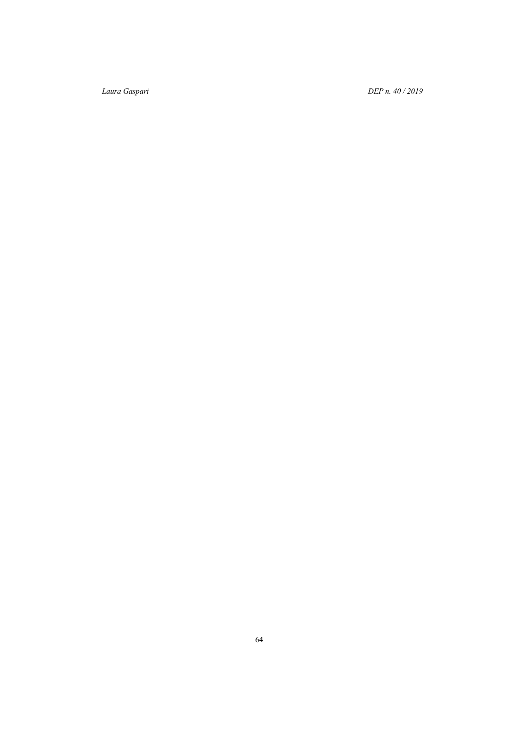*Laura Gaspari DEP n. 40 / 2019*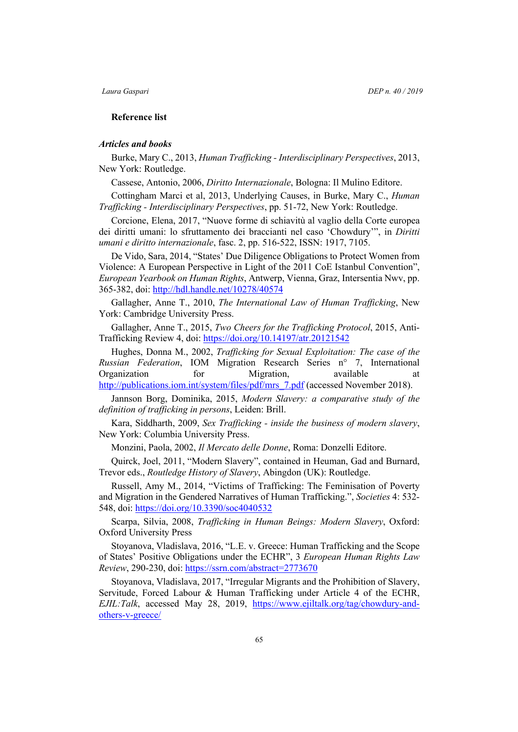# **Reference list**

# *Articles and books*

Burke, Mary C., 2013, *Human Trafficking - Interdisciplinary Perspectives*, 2013, New York: Routledge.

Cassese, Antonio, 2006, *Diritto Internazionale*, Bologna: Il Mulino Editore.

Cottingham Marci et al, 2013, Underlying Causes, in Burke, Mary C., *Human Trafficking - Interdisciplinary Perspectives*, pp. 51-72, New York: Routledge.

Corcione, Elena, 2017, "Nuove forme di schiavitù al vaglio della Corte europea dei diritti umani: lo sfruttamento dei braccianti nel caso 'Chowdury'", in *Diritti umani e diritto internazionale*, fasc. 2, pp. 516-522, ISSN: 1917, 7105.

De Vido, Sara, 2014, "States' Due Diligence Obligations to Protect Women from Violence: A European Perspective in Light of the 2011 CoE Istanbul Convention", *European Yearbook on Human Rights*, Antwerp, Vienna, Graz, Intersentia Nwv, pp. 365-382, doi: http://hdl.handle.net/10278/40574

Gallagher, Anne T., 2010, *The International Law of Human Trafficking*, New York: Cambridge University Press.

Gallagher, Anne T., 2015, *Two Cheers for the Trafficking Protocol*, 2015, Anti-Trafficking Review 4, doi: https://doi.org/10.14197/atr.20121542

Hughes, Donna M., 2002, *Trafficking for Sexual Exploitation: The case of the Russian Federation*, IOM Migration Research Series n° 7, International Organization for Migration, available at http://publications.iom.int/system/files/pdf/mrs\_7.pdf (accessed November 2018).

Jannson Borg, Dominika, 2015, *Modern Slavery: a comparative study of the definition of trafficking in persons*, Leiden: Brill.

Kara, Siddharth, 2009, *Sex Trafficking - inside the business of modern slavery*, New York: Columbia University Press.

Monzini, Paola, 2002, *Il Mercato delle Donne*, Roma: Donzelli Editore.

Quirck, Joel, 2011, "Modern Slavery", contained in Heuman, Gad and Burnard, Trevor eds., *Routledge History of Slavery*, Abingdon (UK): Routledge.

Russell, Amy M., 2014, "Victims of Trafficking: The Feminisation of Poverty and Migration in the Gendered Narratives of Human Trafficking.", *Societies* 4: 532- 548, doi: https://doi.org/10.3390/soc4040532

Scarpa, Silvia, 2008, *Trafficking in Human Beings: Modern Slavery*, Oxford: Oxford University Press

Stoyanova, Vladislava, 2016, "L.E. v. Greece: Human Trafficking and the Scope of States' Positive Obligations under the ECHR", 3 *European Human Rights Law Review*, 290-230, doi: https://ssrn.com/abstract=2773670

Stoyanova, Vladislava, 2017, "Irregular Migrants and the Prohibition of Slavery, Servitude, Forced Labour & Human Trafficking under Article 4 of the ECHR, *EJIL:Talk*, accessed May 28, 2019, https://www.ejiltalk.org/tag/chowdury-andothers-v-greece/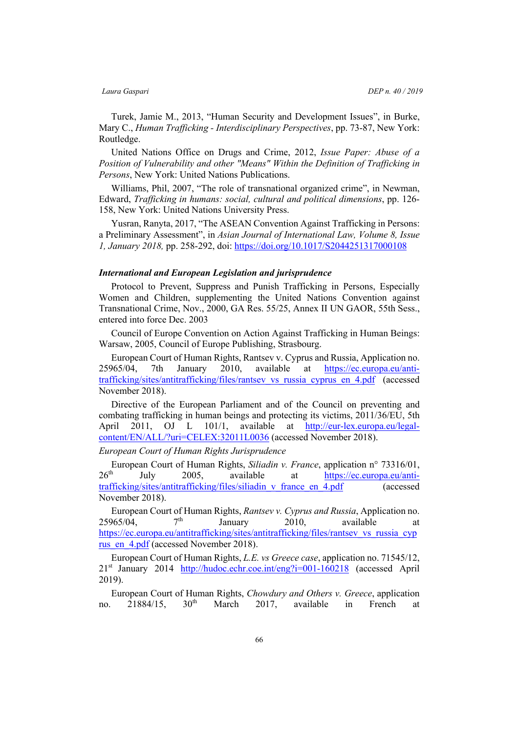Turek, Jamie M., 2013, "Human Security and Development Issues", in Burke, Mary C., *Human Trafficking - Interdisciplinary Perspectives*, pp. 73-87, New York: Routledge.

United Nations Office on Drugs and Crime, 2012, *Issue Paper: Abuse of a Position of Vulnerability and other "Means" Within the Definition of Trafficking in Persons*, New York: United Nations Publications.

Williams, Phil, 2007, "The role of transnational organized crime", in Newman, Edward, *Trafficking in humans: social, cultural and political dimensions*, pp. 126- 158, New York: United Nations University Press.

Yusran, Ranyta, 2017, "The ASEAN Convention Against Trafficking in Persons: a Preliminary Assessment", in *Asian Journal of International Law, Volume 8, Issue 1, January 2018,* pp. 258-292, doi: https://doi.org/10.1017/S2044251317000108

### *International and European Legislation and jurisprudence*

Protocol to Prevent, Suppress and Punish Trafficking in Persons, Especially Women and Children, supplementing the United Nations Convention against Transnational Crime, Nov., 2000, GA Res. 55/25, Annex II UN GAOR, 55th Sess., entered into force Dec. 2003

Council of Europe Convention on Action Against Trafficking in Human Beings: Warsaw, 2005, Council of Europe Publishing, Strasbourg.

European Court of Human Rights, Rantsev v. Cyprus and Russia, Application no. 25965/04, 7th January 2010, available at https://ec.europa.eu/antitrafficking/sites/antitrafficking/files/rantsev\_vs\_russia\_cyprus\_en\_4.pdf (accessed November 2018).

Directive of the European Parliament and of the Council on preventing and combating trafficking in human beings and protecting its victims, 2011/36/EU, 5th April 2011, OJ L 101/1, available at http://eur-lex.europa.eu/legalcontent/EN/ALL/?uri=CELEX:32011L0036 (accessed November 2018).

# *European Court of Human Rights Jurisprudence*

European Court of Human Rights, *Siliadin v. France*, application n° 73316/01,<br>26<sup>th</sup> Iuly 2005 available at https://ec.europa.eu/anti-July 2005, available at https://ec.europa.eu/antitrafficking/sites/antitrafficking/files/siliadin\_v\_france\_en\_4.pdf (accessed November 2018).

European Court of Human Rights, *Rantsev v. Cyprus and Russia*, Application no.  $25965/04$ ,  $7<sup>th</sup>$  January 2010, available at https://ec.europa.eu/antitrafficking/sites/antitrafficking/files/rantsev\_vs\_russia\_cyp rus\_en\_4.pdf (accessed November 2018).

European Court of Human Rights, *L.E. vs Greece case*, application no. 71545/12, 21st January 2014 http://hudoc.echr.coe.int/eng?i=001-160218 (accessed April 2019).

European Court of Human Rights, *Chowdury and Others v. Greece*, application no.  $21884/15$ ,  $30<sup>th</sup>$  March 2017, available in French at